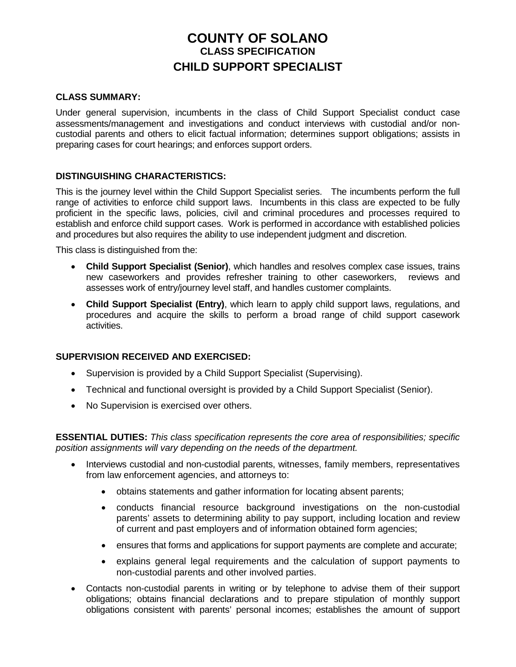# **COUNTY OF SOLANO CLASS SPECIFICATION CHILD SUPPORT SPECIALIST**

## **CLASS SUMMARY:**

Under general supervision, incumbents in the class of Child Support Specialist conduct case assessments/management and investigations and conduct interviews with custodial and/or noncustodial parents and others to elicit factual information; determines support obligations; assists in preparing cases for court hearings; and enforces support orders.

## **DISTINGUISHING CHARACTERISTICS:**

This is the journey level within the Child Support Specialist series. The incumbents perform the full range of activities to enforce child support laws. Incumbents in this class are expected to be fully proficient in the specific laws, policies, civil and criminal procedures and processes required to establish and enforce child support cases. Work is performed in accordance with established policies and procedures but also requires the ability to use independent judgment and discretion.

This class is distinguished from the:

- **Child Support Specialist (Senior)**, which handles and resolves complex case issues, trains new caseworkers and provides refresher training to other caseworkers, reviews and assesses work of entry/journey level staff, and handles customer complaints.
- **Child Support Specialist (Entry)**, which learn to apply child support laws, regulations, and procedures and acquire the skills to perform a broad range of child support casework activities.

## **SUPERVISION RECEIVED AND EXERCISED:**

- Supervision is provided by a Child Support Specialist (Supervising).
- Technical and functional oversight is provided by a Child Support Specialist (Senior).
- No Supervision is exercised over others.

**ESSENTIAL DUTIES:** *This class specification represents the core area of responsibilities; specific position assignments will vary depending on the needs of the department.*

- Interviews custodial and non-custodial parents, witnesses, family members, representatives from law enforcement agencies, and attorneys to:
	- obtains statements and gather information for locating absent parents;
	- conducts financial resource background investigations on the non-custodial parents' assets to determining ability to pay support, including location and review of current and past employers and of information obtained form agencies;
	- ensures that forms and applications for support payments are complete and accurate;
	- explains general legal requirements and the calculation of support payments to non-custodial parents and other involved parties.
- Contacts non-custodial parents in writing or by telephone to advise them of their support obligations; obtains financial declarations and to prepare stipulation of monthly support obligations consistent with parents' personal incomes; establishes the amount of support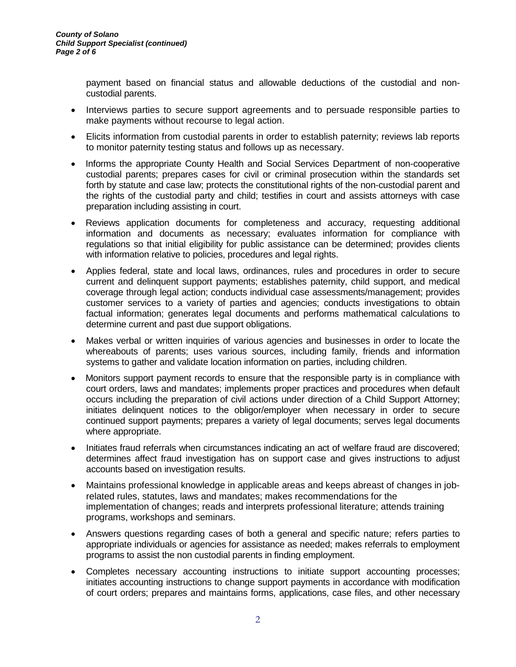payment based on financial status and allowable deductions of the custodial and noncustodial parents.

- Interviews parties to secure support agreements and to persuade responsible parties to make payments without recourse to legal action.
- Elicits information from custodial parents in order to establish paternity; reviews lab reports to monitor paternity testing status and follows up as necessary.
- Informs the appropriate County Health and Social Services Department of non-cooperative custodial parents; prepares cases for civil or criminal prosecution within the standards set forth by statute and case law; protects the constitutional rights of the non-custodial parent and the rights of the custodial party and child; testifies in court and assists attorneys with case preparation including assisting in court.
- Reviews application documents for completeness and accuracy, requesting additional information and documents as necessary; evaluates information for compliance with regulations so that initial eligibility for public assistance can be determined; provides clients with information relative to policies, procedures and legal rights.
- Applies federal, state and local laws, ordinances, rules and procedures in order to secure current and delinquent support payments; establishes paternity, child support, and medical coverage through legal action; conducts individual case assessments/management; provides customer services to a variety of parties and agencies; conducts investigations to obtain factual information; generates legal documents and performs mathematical calculations to determine current and past due support obligations.
- Makes verbal or written inquiries of various agencies and businesses in order to locate the whereabouts of parents; uses various sources, including family, friends and information systems to gather and validate location information on parties, including children.
- Monitors support payment records to ensure that the responsible party is in compliance with court orders, laws and mandates; implements proper practices and procedures when default occurs including the preparation of civil actions under direction of a Child Support Attorney; initiates delinquent notices to the obligor/employer when necessary in order to secure continued support payments; prepares a variety of legal documents; serves legal documents where appropriate.
- Initiates fraud referrals when circumstances indicating an act of welfare fraud are discovered; determines affect fraud investigation has on support case and gives instructions to adjust accounts based on investigation results.
- Maintains professional knowledge in applicable areas and keeps abreast of changes in jobrelated rules, statutes, laws and mandates; makes recommendations for the implementation of changes; reads and interprets professional literature; attends training programs, workshops and seminars.
- Answers questions regarding cases of both a general and specific nature; refers parties to appropriate individuals or agencies for assistance as needed; makes referrals to employment programs to assist the non custodial parents in finding employment.
- Completes necessary accounting instructions to initiate support accounting processes; initiates accounting instructions to change support payments in accordance with modification of court orders; prepares and maintains forms, applications, case files, and other necessary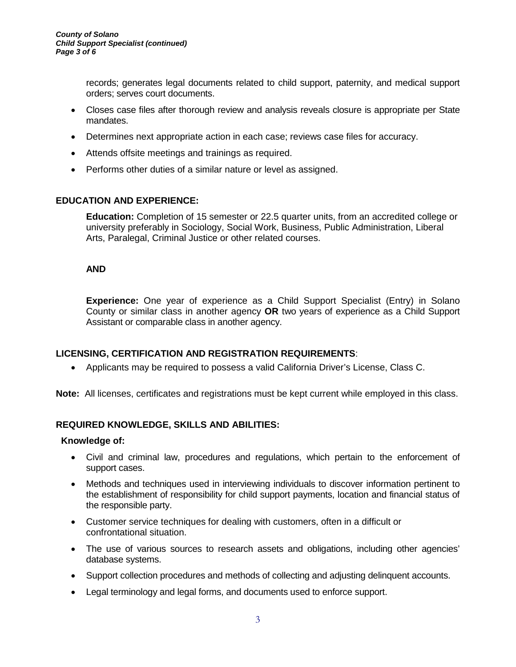records; generates legal documents related to child support, paternity, and medical support orders; serves court documents.

- Closes case files after thorough review and analysis reveals closure is appropriate per State mandates.
- Determines next appropriate action in each case; reviews case files for accuracy.
- Attends offsite meetings and trainings as required.
- Performs other duties of a similar nature or level as assigned.

### **EDUCATION AND EXPERIENCE:**

**Education:** Completion of 15 semester or 22.5 quarter units, from an accredited college or university preferably in Sociology, Social Work, Business, Public Administration, Liberal Arts, Paralegal, Criminal Justice or other related courses.

#### **AND**

**Experience:** One year of experience as a Child Support Specialist (Entry) in Solano County or similar class in another agency **OR** two years of experience as a Child Support Assistant or comparable class in another agency.

## **LICENSING, CERTIFICATION AND REGISTRATION REQUIREMENTS**:

• Applicants may be required to possess a valid California Driver's License, Class C.

**Note:** All licenses, certificates and registrations must be kept current while employed in this class.

#### **REQUIRED KNOWLEDGE, SKILLS AND ABILITIES:**

#### **Knowledge of:**

- Civil and criminal law, procedures and regulations, which pertain to the enforcement of support cases.
- Methods and techniques used in interviewing individuals to discover information pertinent to the establishment of responsibility for child support payments, location and financial status of the responsible party.
- Customer service techniques for dealing with customers, often in a difficult or confrontational situation.
- The use of various sources to research assets and obligations, including other agencies' database systems.
- Support collection procedures and methods of collecting and adjusting delinquent accounts.
- Legal terminology and legal forms, and documents used to enforce support.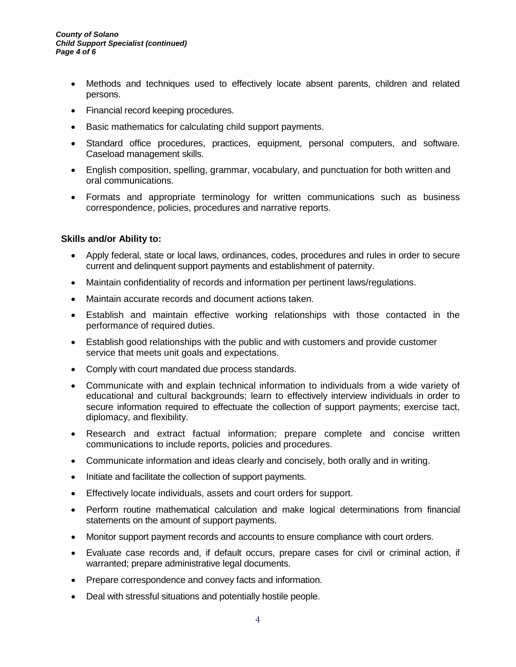- Methods and techniques used to effectively locate absent parents, children and related persons.
- Financial record keeping procedures.
- Basic mathematics for calculating child support payments.
- Standard office procedures, practices, equipment, personal computers, and software. Caseload management skills.
- English composition, spelling, grammar, vocabulary, and punctuation for both written and oral communications.
- Formats and appropriate terminology for written communications such as business correspondence, policies, procedures and narrative reports.

## **Skills and/or Ability to:**

- Apply federal, state or local laws, ordinances, codes, procedures and rules in order to secure current and delinquent support payments and establishment of paternity.
- Maintain confidentiality of records and information per pertinent laws/regulations.
- Maintain accurate records and document actions taken.
- Establish and maintain effective working relationships with those contacted in the performance of required duties.
- Establish good relationships with the public and with customers and provide customer service that meets unit goals and expectations.
- Comply with court mandated due process standards.
- Communicate with and explain technical information to individuals from a wide variety of educational and cultural backgrounds; learn to effectively interview individuals in order to secure information required to effectuate the collection of support payments; exercise tact, diplomacy, and flexibility.
- Research and extract factual information; prepare complete and concise written communications to include reports, policies and procedures.
- Communicate information and ideas clearly and concisely, both orally and in writing.
- Initiate and facilitate the collection of support payments.
- Effectively locate individuals, assets and court orders for support.
- Perform routine mathematical calculation and make logical determinations from financial statements on the amount of support payments.
- Monitor support payment records and accounts to ensure compliance with court orders.
- Evaluate case records and, if default occurs, prepare cases for civil or criminal action, if warranted; prepare administrative legal documents.
- Prepare correspondence and convey facts and information.
- Deal with stressful situations and potentially hostile people.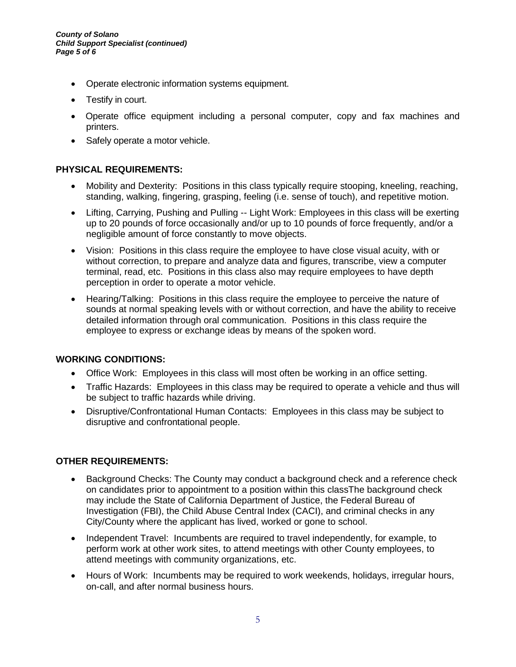- Operate electronic information systems equipment.
- Testify in court.
- Operate office equipment including a personal computer, copy and fax machines and printers.
- Safely operate a motor vehicle.

## **PHYSICAL REQUIREMENTS:**

- Mobility and Dexterity: Positions in this class typically require stooping, kneeling, reaching, standing, walking, fingering, grasping, feeling (i.e. sense of touch), and repetitive motion.
- Lifting, Carrying, Pushing and Pulling -- Light Work: Employees in this class will be exerting up to 20 pounds of force occasionally and/or up to 10 pounds of force frequently, and/or a negligible amount of force constantly to move objects.
- Vision: Positions in this class require the employee to have close visual acuity, with or without correction, to prepare and analyze data and figures, transcribe, view a computer terminal, read, etc. Positions in this class also may require employees to have depth perception in order to operate a motor vehicle.
- Hearing/Talking: Positions in this class require the employee to perceive the nature of sounds at normal speaking levels with or without correction, and have the ability to receive detailed information through oral communication. Positions in this class require the employee to express or exchange ideas by means of the spoken word.

## **WORKING CONDITIONS:**

- Office Work: Employees in this class will most often be working in an office setting.
- Traffic Hazards: Employees in this class may be required to operate a vehicle and thus will be subject to traffic hazards while driving.
- Disruptive/Confrontational Human Contacts: Employees in this class may be subject to disruptive and confrontational people.

## **OTHER REQUIREMENTS:**

- Background Checks: The County may conduct a background check and a reference check on candidates prior to appointment to a position within this classThe background check may include the State of California Department of Justice, the Federal Bureau of Investigation (FBI), the Child Abuse Central Index (CACI), and criminal checks in any City/County where the applicant has lived, worked or gone to school.
- Independent Travel: Incumbents are required to travel independently, for example, to perform work at other work sites, to attend meetings with other County employees, to attend meetings with community organizations, etc.
- Hours of Work: Incumbents may be required to work weekends, holidays, irregular hours, on-call, and after normal business hours.